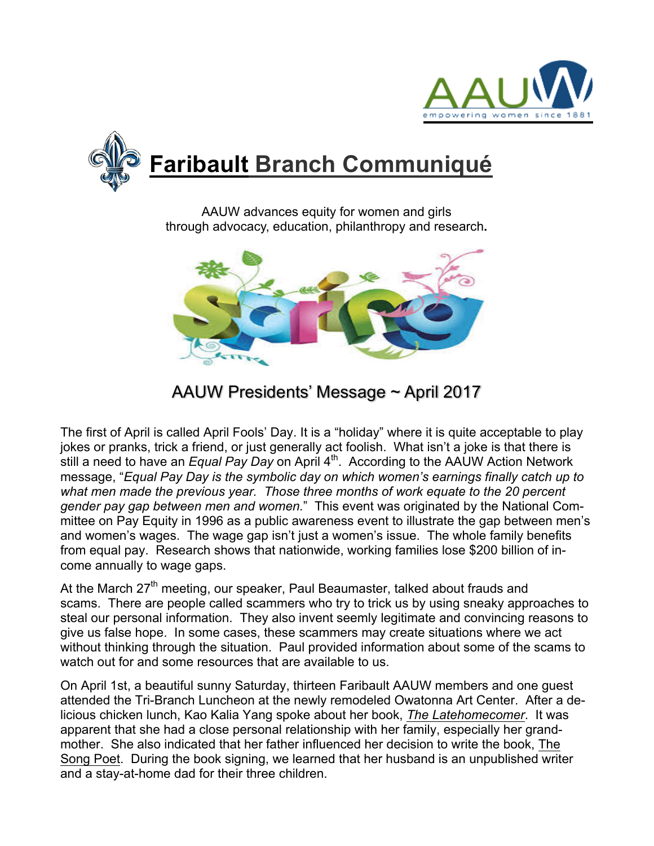



AAUW advances equity for women and girls through advocacy, education, philanthropy and research**.**



# AAUW Presidents' Message ~ April 2017

The first of April is called April Fools' Day. It is a "holiday" where it is quite acceptable to play jokes or pranks, trick a friend, or just generally act foolish. What isn't a joke is that there is still a need to have an *Equal Pay Day* on April 4<sup>th</sup>. According to the AAUW Action Network message, "*Equal Pay Day is the symbolic day on which women's earnings finally catch up to what men made the previous year. Those three months of work equate to the 20 percent gender pay gap between men and women.*" This event was originated by the National Committee on Pay Equity in 1996 as a public awareness event to illustrate the gap between men's and women's wages. The wage gap isn't just a women's issue. The whole family benefits from equal pay. Research shows that nationwide, working families lose \$200 billion of income annually to wage gaps.

At the March  $27<sup>th</sup>$  meeting, our speaker, Paul Beaumaster, talked about frauds and scams. There are people called scammers who try to trick us by using sneaky approaches to steal our personal information. They also invent seemly legitimate and convincing reasons to give us false hope. In some cases, these scammers may create situations where we act without thinking through the situation. Paul provided information about some of the scams to watch out for and some resources that are available to us.

On April 1st, a beautiful sunny Saturday, thirteen Faribault AAUW members and one guest attended the Tri-Branch Luncheon at the newly remodeled Owatonna Art Center. After a delicious chicken lunch, Kao Kalia Yang spoke about her book, *The Latehomecomer*. It was apparent that she had a close personal relationship with her family, especially her grandmother. She also indicated that her father influenced her decision to write the book, The Song Poet. During the book signing, we learned that her husband is an unpublished writer and a stay-at-home dad for their three children.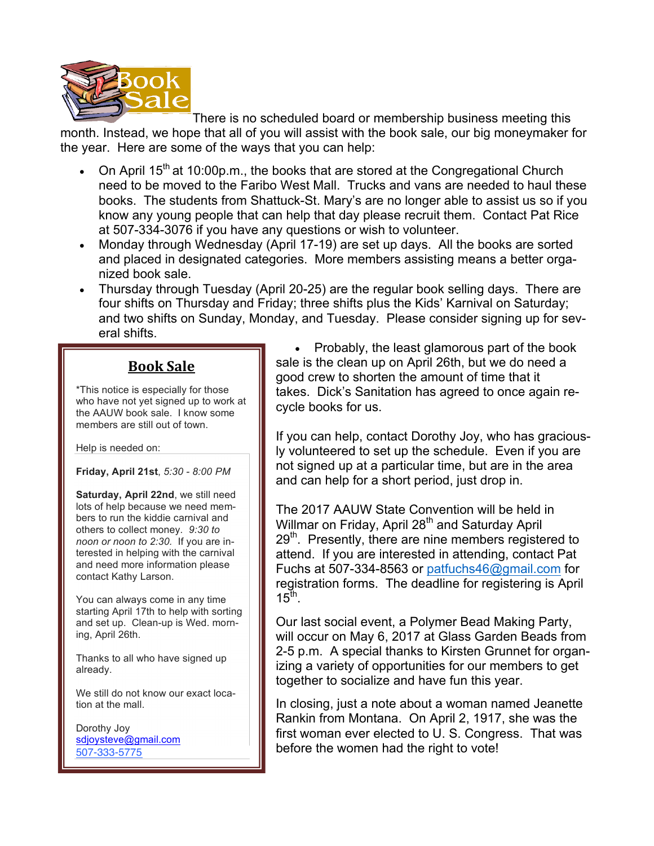

There is no scheduled board or membership business meeting this

month. Instead, we hope that all of you will assist with the book sale, our big moneymaker for the year. Here are some of the ways that you can help:

- On April 15<sup>th</sup> at 10:00p.m., the books that are stored at the Congregational Church need to be moved to the Faribo West Mall. Trucks and vans are needed to haul these books. The students from Shattuck-St. Mary's are no longer able to assist us so if you know any young people that can help that day please recruit them. Contact Pat Rice at 507-334-3076 if you have any questions or wish to volunteer.
- Monday through Wednesday (April 17-19) are set up days. All the books are sorted and placed in designated categories. More members assisting means a better organized book sale.
- Thursday through Tuesday (April 20-25) are the regular book selling days. There are four shifts on Thursday and Friday; three shifts plus the Kids' Karnival on Saturday; and two shifts on Sunday, Monday, and Tuesday. Please consider signing up for several shifts.

## **Book Sale**

\*This notice is especially for those who have not yet signed up to work at the AAUW book sale. I know some members are still out of town.

Help is needed on:

**Friday, April 21st**, *5:30 - 8:00 PM*

**Saturday, April 22nd**, we still need lots of help because we need members to run the kiddie carnival and others to collect money*. 9:30 to noon or noon to 2:30.* If you are interested in helping with the carnival and need more information please contact Kathy Larson.

You can always come in any time starting April 17th to help with sorting and set up. Clean-up is Wed. morning, April 26th.

Thanks to all who have signed up already.

We still do not know our exact location at the mall.

Dorothy Joy sdjoysteve@gmail.com 507-333-5775

• Probably, the least glamorous part of the book sale is the clean up on April 26th, but we do need a good crew to shorten the amount of time that it takes. Dick's Sanitation has agreed to once again recycle books for us.

If you can help, contact Dorothy Joy, who has graciously volunteered to set up the schedule. Even if you are not signed up at a particular time, but are in the area and can help for a short period, just drop in.

The 2017 AAUW State Convention will be held in Willmar on Friday, April 28<sup>th</sup> and Saturday April  $29<sup>th</sup>$ . Presently, there are nine members registered to attend. If you are interested in attending, contact Pat Fuchs at 507-334-8563 or patfuchs46@gmail.com for registration forms. The deadline for registering is April  $15^{\text{th}}$ .

Our last social event, a Polymer Bead Making Party, will occur on May 6, 2017 at Glass Garden Beads from 2-5 p.m. A special thanks to Kirsten Grunnet for organizing a variety of opportunities for our members to get together to socialize and have fun this year.

In closing, just a note about a woman named Jeanette Rankin from Montana. On April 2, 1917, she was the first woman ever elected to U. S. Congress. That was before the women had the right to vote!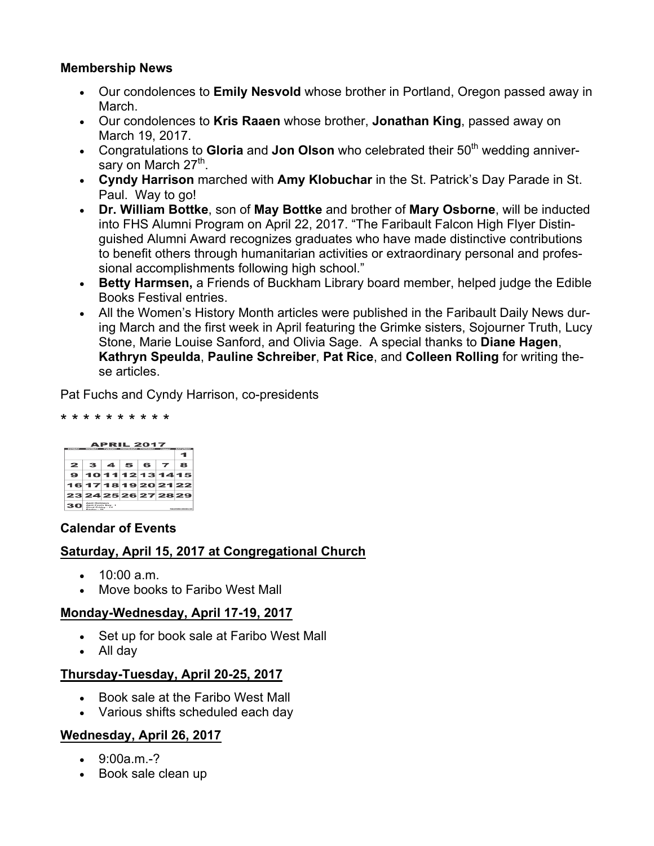### **Membership News**

- Our condolences to **Emily Nesvold** whose brother in Portland, Oregon passed away in March.
- Our condolences to **Kris Raaen** whose brother, **Jonathan King**, passed away on March 19, 2017.
- Congratulations to Gloria and Jon Olson who celebrated their 50<sup>th</sup> wedding anniversary on March  $27<sup>th</sup>$ .
- **Cyndy Harrison** marched with **Amy Klobuchar** in the St. Patrick's Day Parade in St. Paul. Way to go!
- **Dr. William Bottke**, son of **May Bottke** and brother of **Mary Osborne**, will be inducted into FHS Alumni Program on April 22, 2017. "The Faribault Falcon High Flyer Distinguished Alumni Award recognizes graduates who have made distinctive contributions to benefit others through humanitarian activities or extraordinary personal and professional accomplishments following high school."
- **Betty Harmsen,** a Friends of Buckham Library board member, helped judge the Edible Books Festival entries.
- All the Women's History Month articles were published in the Faribault Daily News during March and the first week in April featuring the Grimke sisters, Sojourner Truth, Lucy Stone, Marie Louise Sanford, and Olivia Sage. A special thanks to **Diane Hagen**, **Kathryn Speulda**, **Pauline Schreiber**, **Pat Rice**, and **Colleen Rolling** for writing these articles.

Pat Fuchs and Cyndy Harrison, co-presidents

#### \* \* \* \* \* \* \* \* \* \*

| <b>APRIL 2017</b><br><b>ENTRAN</b><br><b>BALLING</b><br><b>MOTHALY</b><br><b>INSTITUTO Y WEIGHT HANY THAT HANY</b> |                                                                                             |  |  |           |  |   |
|--------------------------------------------------------------------------------------------------------------------|---------------------------------------------------------------------------------------------|--|--|-----------|--|---|
|                                                                                                                    |                                                                                             |  |  |           |  |   |
| $\mathbf{z}$                                                                                                       |                                                                                             |  |  | 3 4 5 6 7 |  | я |
|                                                                                                                    | 9101112131415                                                                               |  |  |           |  |   |
|                                                                                                                    | 16171819202122                                                                              |  |  |           |  |   |
|                                                                                                                    | 23242526272829                                                                              |  |  |           |  |   |
|                                                                                                                    | <b><i>Amelia MacDidonom</i></b><br>Foot's Day - 1<br>Genet Friday - 14<br>Expedience - 1989 |  |  |           |  |   |

#### **Calendar of Events**

### **Saturday, April 15, 2017 at Congregational Church**

- 10:00 a.m.
- Move books to Faribo West Mall

#### **Monday-Wednesday, April 17-19, 2017**

- Set up for book sale at Faribo West Mall
- All day

### **Thursday-Tuesday, April 20-25, 2017**

- Book sale at the Faribo West Mall
- Various shifts scheduled each day

### **Wednesday, April 26, 2017**

- $\bullet$  9:00a.m.-?
- Book sale clean up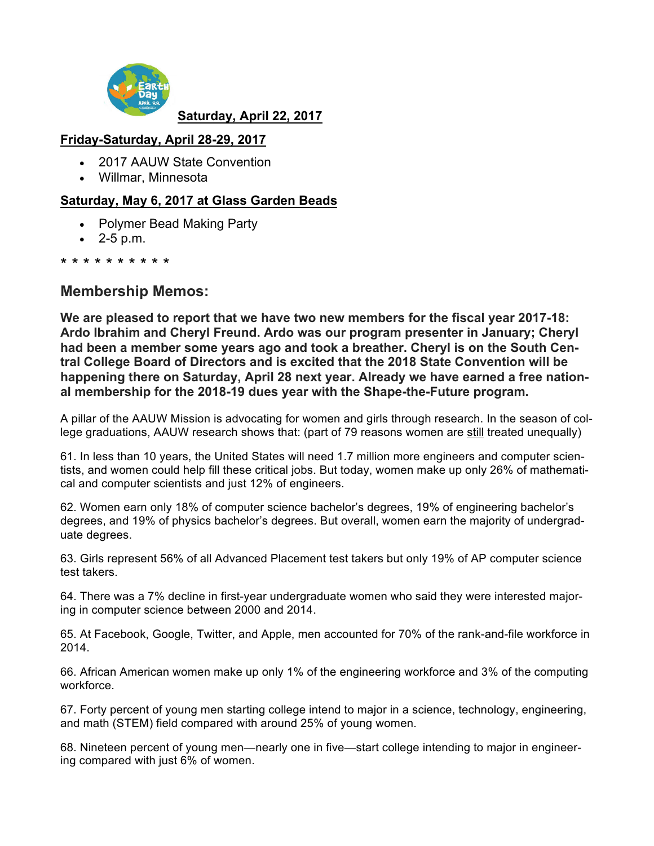

### **Saturday, April 22, 2017**

## **Friday-Saturday, April 28-29, 2017**

- 2017 AAUW State Convention
- Willmar, Minnesota

### **Saturday, May 6, 2017 at Glass Garden Beads**

- Polymer Bead Making Party
- $\bullet$  2-5 p.m.

#### \* \* \* \* \* \* \* \* \* \*

## **Membership Memos:**

**We are pleased to report that we have two new members for the fiscal year 2017-18: Ardo Ibrahim and Cheryl Freund. Ardo was our program presenter in January; Cheryl had been a member some years ago and took a breather. Cheryl is on the South Central College Board of Directors and is excited that the 2018 State Convention will be happening there on Saturday, April 28 next year. Already we have earned a free national membership for the 2018-19 dues year with the Shape-the-Future program.**

A pillar of the AAUW Mission is advocating for women and girls through research. In the season of college graduations, AAUW research shows that: (part of 79 reasons women are still treated unequally)

61. In less than 10 years, the United States will need 1.7 million more engineers and computer scientists, and women could help fill these critical jobs. But today, women make up only 26% of mathematical and computer scientists and just 12% of engineers.

62. Women earn only 18% of computer science bachelor's degrees, 19% of engineering bachelor's degrees, and 19% of physics bachelor's degrees. But overall, women earn the majority of undergraduate degrees.

63. Girls represent 56% of all Advanced Placement test takers but only 19% of AP computer science test takers.

64. There was a 7% decline in first-year undergraduate women who said they were interested majoring in computer science between 2000 and 2014.

65. At Facebook, Google, Twitter, and Apple, men accounted for 70% of the rank-and-file workforce in 2014.

66. African American women make up only 1% of the engineering workforce and 3% of the computing workforce.

67. Forty percent of young men starting college intend to major in a science, technology, engineering, and math (STEM) field compared with around 25% of young women.

68. Nineteen percent of young men—nearly one in five—start college intending to major in engineering compared with just 6% of women.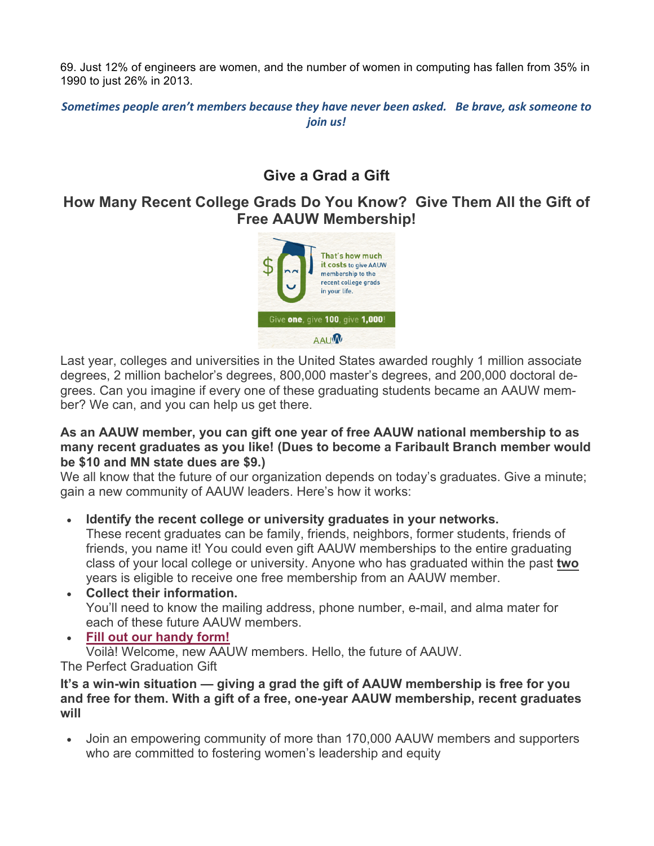69. Just 12% of engineers are women, and the number of women in computing has fallen from 35% in 1990 to just 26% in 2013.

Sometimes people aren't members because they have never been asked. Be brave, ask someone to *join us!*

## **Give a Grad a Gift**

## **How Many Recent College Grads Do You Know? Give Them All the Gift of Free AAUW Membership!**



Last year, colleges and universities in the United States awarded roughly 1 million associate degrees, 2 million bachelor's degrees, 800,000 master's degrees, and 200,000 doctoral degrees. Can you imagine if every one of these graduating students became an AAUW member? We can, and you can help us get there.

#### **As an AAUW member, you can gift one year of free AAUW national membership to as many recent graduates as you like! (Dues to become a Faribault Branch member would be \$10 and MN state dues are \$9.)**

We all know that the future of our organization depends on today's graduates. Give a minute; gain a new community of AAUW leaders. Here's how it works:

• **Identify the recent college or university graduates in your networks.**

These recent graduates can be family, friends, neighbors, former students, friends of friends, you name it! You could even gift AAUW memberships to the entire graduating class of your local college or university. Anyone who has graduated within the past **two** years is eligible to receive one free membership from an AAUW member.

- **Collect their information.** You'll need to know the mailing address, phone number, e-mail, and alma mater for each of these future AAUW members.
- **Fill out our handy form!** Voilà! Welcome, new AAUW members. Hello, the future of AAUW. The Perfect Graduation Gift

**It's a win-win situation — giving a grad the gift of AAUW membership is free for you and free for them. With a gift of a free, one-year AAUW membership, recent graduates will**

• Join an empowering community of more than 170,000 AAUW members and supporters who are committed to fostering women's leadership and equity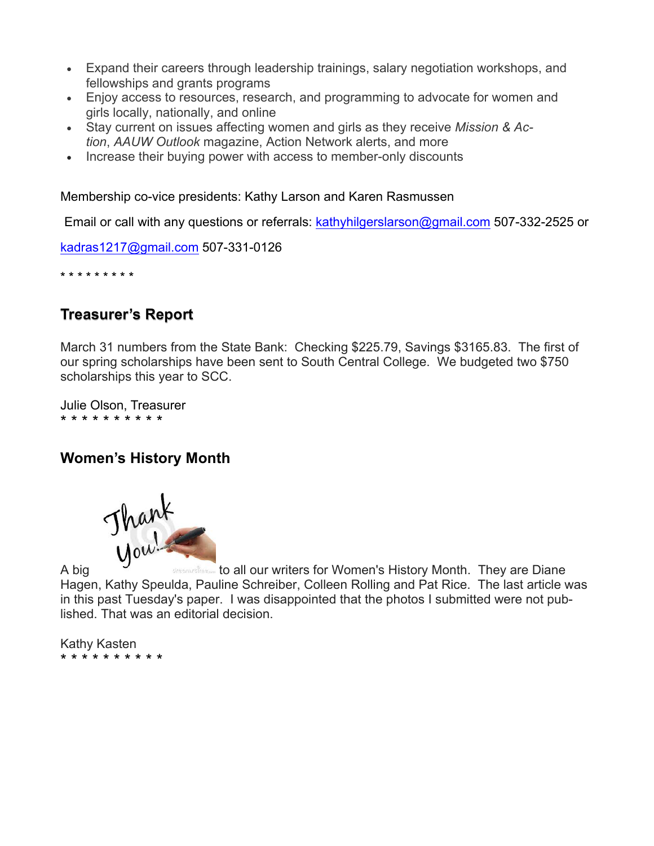- Expand their careers through leadership trainings, salary negotiation workshops, and fellowships and grants programs
- Enjoy access to resources, research, and programming to advocate for women and girls locally, nationally, and online
- Stay current on issues affecting women and girls as they receive *Mission & Action*, *AAUW Outlook* magazine, Action Network alerts, and more
- Increase their buying power with access to member-only discounts

Membership co-vice presidents: Kathy Larson and Karen Rasmussen

Email or call with any questions or referrals: kathyhilgerslarson@gmail.com 507-332-2525 or

kadras1217@gmail.com 507-331-0126

\* \* \* \* \* \* \* \* \*

## **Treasurer's Report**

March 31 numbers from the State Bank: Checking \$225.79, Savings \$3165.83. The first of our spring scholarships have been sent to South Central College. We budgeted two \$750 scholarships this year to SCC.

Julie Olson, Treasurer \* \* \* \* \* \* \* \* \* \*

## **Women's History Month**



Hagen, Kathy Speulda, Pauline Schreiber, Colleen Rolling and Pat Rice. The last article was in this past Tuesday's paper. I was disappointed that the photos I submitted were not published. That was an editorial decision.

Kathy Kasten \* \* \* \* \* \* \* \* \* \*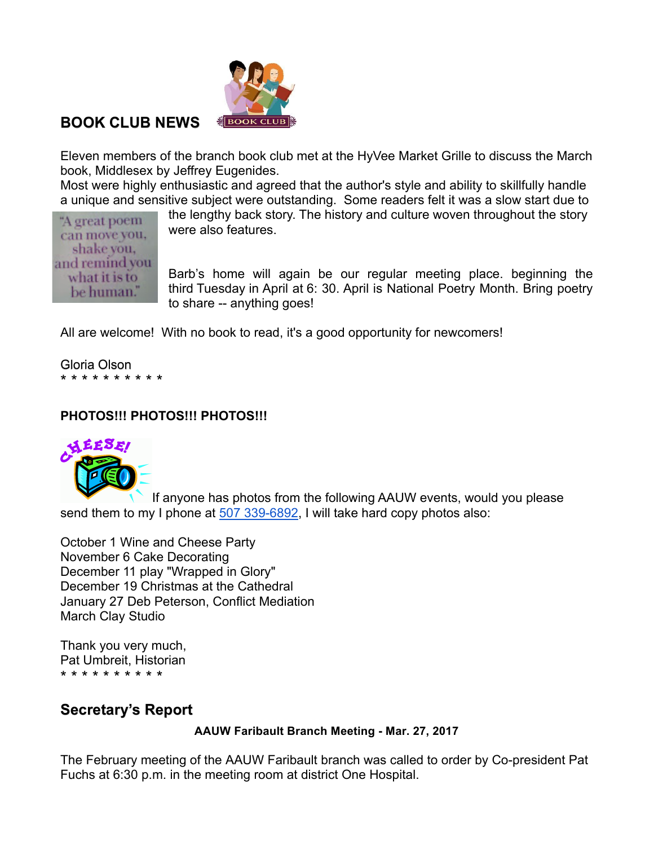

## **BOOK CLUB NEWS**

Eleven members of the branch book club met at the HyVee Market Grille to discuss the March book, Middlesex by Jeffrey Eugenides.

Most were highly enthusiastic and agreed that the author's style and ability to skillfully handle a unique and sensitive subject were outstanding. Some readers felt it was a slow start due to

"A great poem can move you, shake you, and remind you what it is to be human."

the lengthy back story. The history and culture woven throughout the story were also features.

Barb's home will again be our regular meeting place. beginning the third Tuesday in April at 6: 30. April is National Poetry Month. Bring poetry to share -- anything goes!

All are welcome! With no book to read, it's a good opportunity for newcomers!

Gloria Olson \* \* \* \* \* \* \* \* \* \*

## **PHOTOS!!! PHOTOS!!! PHOTOS!!!**



If anyone has photos from the following AAUW events, would you please send them to my I phone at 507 339-6892, I will take hard copy photos also:

October 1 Wine and Cheese Party November 6 Cake Decorating December 11 play "Wrapped in Glory" December 19 Christmas at the Cathedral January 27 Deb Peterson, Conflict Mediation March Clay Studio

Thank you very much, Pat Umbreit, Historian \* \* \* \* \* \* \* \* \* \*

## **Secretary's Report**

**AAUW Faribault Branch Meeting - Mar. 27, 2017**

The February meeting of the AAUW Faribault branch was called to order by Co-president Pat Fuchs at 6:30 p.m. in the meeting room at district One Hospital.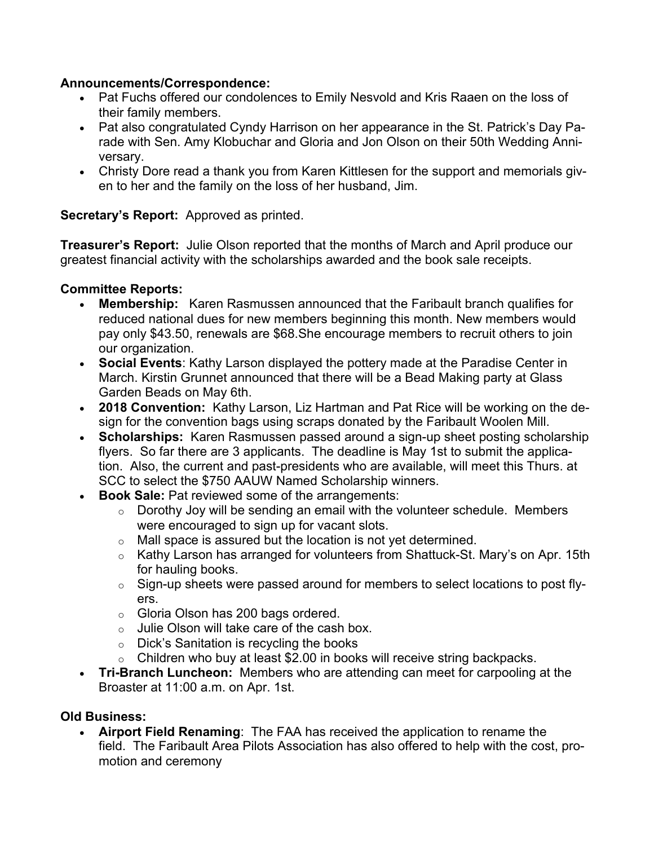### **Announcements/Correspondence:**

- Pat Fuchs offered our condolences to Emily Nesvold and Kris Raaen on the loss of their family members.
- Pat also congratulated Cyndy Harrison on her appearance in the St. Patrick's Day Parade with Sen. Amy Klobuchar and Gloria and Jon Olson on their 50th Wedding Anniversary.
- Christy Dore read a thank you from Karen Kittlesen for the support and memorials given to her and the family on the loss of her husband, Jim.

### **Secretary's Report:** Approved as printed.

**Treasurer's Report:** Julie Olson reported that the months of March and April produce our greatest financial activity with the scholarships awarded and the book sale receipts.

### **Committee Reports:**

- **Membership:** Karen Rasmussen announced that the Faribault branch qualifies for reduced national dues for new members beginning this month. New members would pay only \$43.50, renewals are \$68.She encourage members to recruit others to join our organization.
- **Social Events**: Kathy Larson displayed the pottery made at the Paradise Center in March. Kirstin Grunnet announced that there will be a Bead Making party at Glass Garden Beads on May 6th.
- **2018 Convention:** Kathy Larson, Liz Hartman and Pat Rice will be working on the design for the convention bags using scraps donated by the Faribault Woolen Mill.
- **Scholarships:** Karen Rasmussen passed around a sign-up sheet posting scholarship flyers. So far there are 3 applicants. The deadline is May 1st to submit the application. Also, the current and past-presidents who are available, will meet this Thurs. at SCC to select the \$750 AAUW Named Scholarship winners.
- **Book Sale:** Pat reviewed some of the arrangements:
	- o Dorothy Joy will be sending an email with the volunteer schedule. Members were encouraged to sign up for vacant slots.
	- o Mall space is assured but the location is not yet determined.
	- o Kathy Larson has arranged for volunteers from Shattuck-St. Mary's on Apr. 15th for hauling books.
	- $\circ$  Sign-up sheets were passed around for members to select locations to post flyers.
	- o Gloria Olson has 200 bags ordered.
	- o Julie Olson will take care of the cash box.
	- o Dick's Sanitation is recycling the books
	- $\circ$  Children who buy at least \$2.00 in books will receive string backpacks.
- **Tri-Branch Luncheon:** Members who are attending can meet for carpooling at the Broaster at 11:00 a.m. on Apr. 1st.

### **Old Business:**

• **Airport Field Renaming**: The FAA has received the application to rename the field. The Faribault Area Pilots Association has also offered to help with the cost, promotion and ceremony